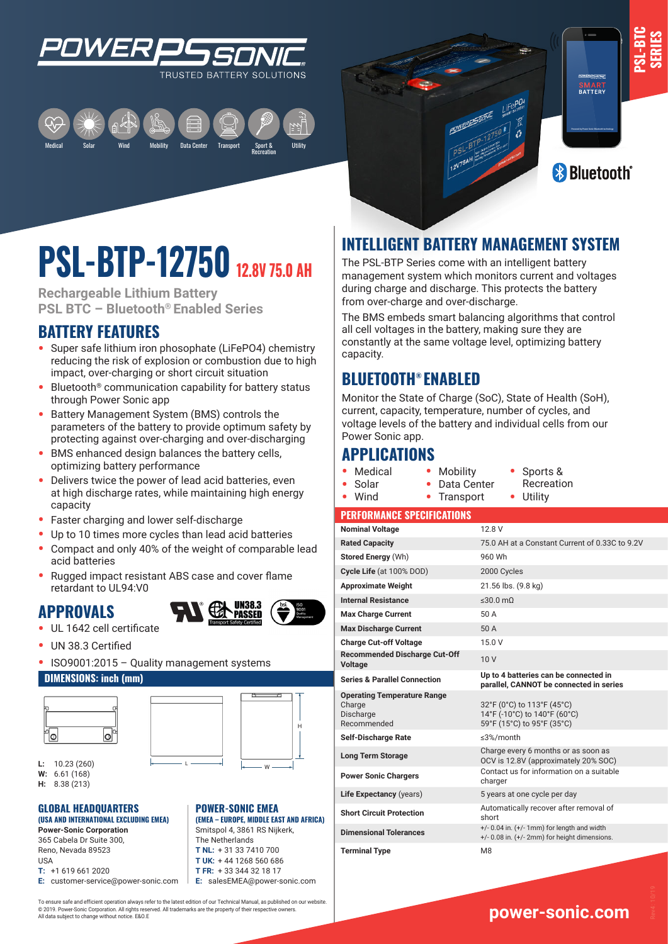

Medical Mobility Data Center Transport Sport & Recreation Solar Utility Wind



**PSL-BTC SERIES**

# **PSL-BTP-12750 12.8V 75.0 AH**

**Rechargeable Lithium Battery PSL BTC – Bluetooth® Enabled Series**

## **BATTERY FEATURES**

- **•** Super safe lithium iron phosophate (LiFePO4) chemistry reducing the risk of explosion or combustion due to high impact, over-charging or short circuit situation
- **•** Bluetooth® communication capability for battery status through Power Sonic app
- **•** Battery Management System (BMS) controls the parameters of the battery to provide optimum safety by protecting against over-charging and over-discharging
- **•** BMS enhanced design balances the battery cells, optimizing battery performance
- **•** Delivers twice the power of lead acid batteries, even at high discharge rates, while maintaining high energy capacity
- **•** Faster charging and lower self-discharge
- **•** Up to 10 times more cycles than lead acid batteries
- **•** Compact and only 40% of the weight of comparable lead acid batteries
- **•** Rugged impact resistant ABS case and cover flame retardant to UL94:V0

## **APPROVALS**



H

W

**(EMEA – EUROPE, MIDDLE EAST AND AFRICA)** Smitspol 4, 3861 RS Nijkerk, The Netherlands **T NL:** + 31 33 7410 700 **T UK:** + 44 1268 560 686 **T FR:** + 33 344 32 18 17 **E:** salesEMEA@power-sonic.com

**POWER-SONIC EMEA** 

- **•** UL 1642 cell certificate
- **•** UN 38.3 Certified
- **•** ISO9001:2015 Quality management systems

#### **DIMENSIONS: inch (mm)**





**L:** 10.23 (260) **W:** 6.61 (168)

**H:** 8.38 (213)

#### L W **(USA AND INTERNATIONAL EXCLUDING EMEA) GLOBAL HEADQUARTERS**

**Power-Sonic Corporation** 365 Cabela Dr Suite 300, Reno, Nevada 89523 USA **T:** +1 619 661 2020

**E:** customer-service@power-sonic.com

To ensure safe and efficient operation always refer to the latest edition of our Technical Manual, as published on our website. © 2019. Power-Sonic Corporation. All rights reserved. All trademarks are the property of their respective owners. All data subject to change without notice. E&O.E

## **INTELLIGENT BATTERY MANAGEMENT SYSTEM**

The PSL-BTP Series come with an intelligent battery management system which monitors current and voltages during charge and discharge. This protects the battery from over-charge and over-discharge.

The BMS embeds smart balancing algorithms that control all cell voltages in the battery, making sure they are constantly at the same voltage level, optimizing battery capacity.

## **BLUETOOTH® ENABLED**

Monitor the State of Charge (SoC), State of Health (SoH), current, capacity, temperature, number of cycles, and voltage levels of the battery and individual cells from our Power Sonic app.

## **APPLICATIONS**

**•** Medical **•** Solar

**•** Wind

- **•** Mobility **•** Data Center **•** Transport
- **•** Sports & Recreation **•** Utility

#### **PERFORMANCE SPECIFICATIONS**

| <b>Nominal Voltage</b>                                                   | 12.8 V                                                                                                |
|--------------------------------------------------------------------------|-------------------------------------------------------------------------------------------------------|
| <b>Rated Capacity</b>                                                    | 75.0 AH at a Constant Current of 0.33C to 9.2V                                                        |
| <b>Stored Energy (Wh)</b>                                                | 960 Wh                                                                                                |
| Cycle Life (at 100% DOD)                                                 | 2000 Cycles                                                                                           |
| <b>Approximate Weight</b>                                                | 21.56 lbs. (9.8 kg)                                                                                   |
| <b>Internal Resistance</b>                                               | $\leq 30.0$ mQ                                                                                        |
| <b>Max Charge Current</b>                                                | 50 A                                                                                                  |
| <b>Max Discharge Current</b>                                             | 50 A                                                                                                  |
| <b>Charge Cut-off Voltage</b>                                            | 15.0V                                                                                                 |
| <b>Recommended Discharge Cut-Off</b><br><b>Voltage</b>                   | 10 <sub>V</sub>                                                                                       |
| <b>Series &amp; Parallel Connection</b>                                  | Up to 4 batteries can be connected in<br>parallel, CANNOT be connected in series                      |
| <b>Operating Temperature Range</b><br>Charge<br>Discharge<br>Recommended | 32°F (0°C) to 113°F (45°C)<br>14°F (-10°C) to 140°F (60°C)<br>59°F (15°C) to 95°F (35°C)              |
| <b>Self-Discharge Rate</b>                                               | $\leq$ 3%/month                                                                                       |
| <b>Long Term Storage</b>                                                 | Charge every 6 months or as soon as<br>OCV is 12.8V (approximately 20% SOC)                           |
| <b>Power Sonic Chargers</b>                                              | Contact us for information on a suitable<br>charger                                                   |
| Life Expectancy (years)                                                  | 5 years at one cycle per day                                                                          |
| <b>Short Circuit Protection</b>                                          | Automatically recover after removal of<br>short                                                       |
| <b>Dimensional Tolerances</b>                                            | $+/- 0.04$ in. $(+/- 1$ mm) for length and width<br>$+/- 0.08$ in. $(+/- 2mm)$ for height dimensions. |
| <b>Terminal Type</b>                                                     | M <sub>8</sub>                                                                                        |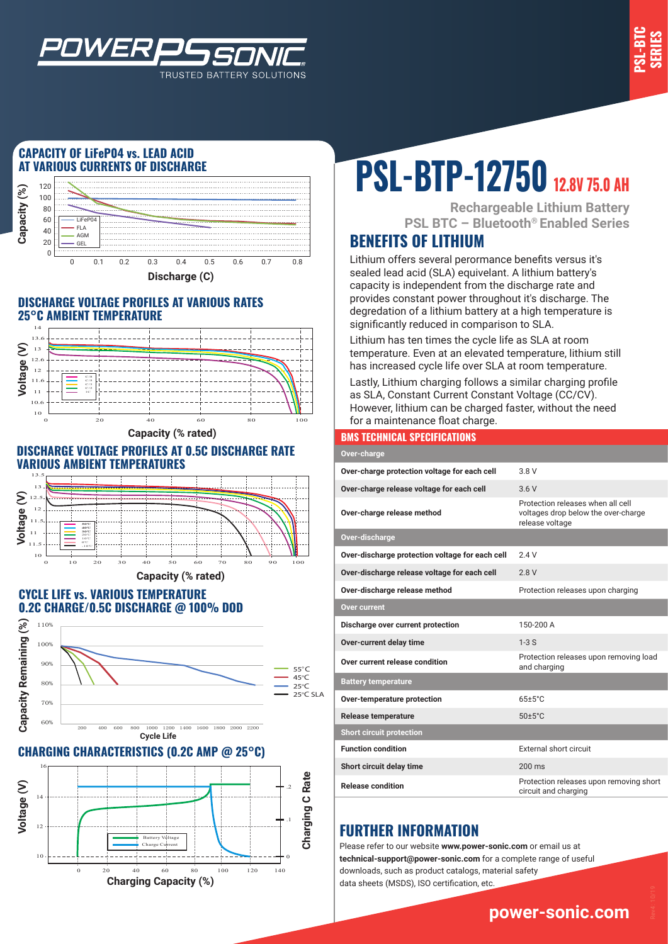

### **CAPACITY OF LiFeP04 vs. LEAD ACID AT VARIOUS CURRENTS OF DISCHARGE**

*WER* 



TRUSTED BATTERY SOLUTIONS

#### **DISCHARGE VOLTAGE PROFILES AT VARIOUS RATES 25°C AMBIENT TEMPERATURE**



**Capacity (% rated)**

#### **DISCHARGE VOLTAGE PROFILES AT 0.5C DISCHARGE RATE VARIOUS AMBIENT TEMPERATURES**



#### **CYCLE LIFE vs. VARIOUS TEMPERATURE 0.2C CHARGE/0.5C DISCHARGE @ 100% DOD**



#### **CHARGING CHARACTERISTICS (0.2C AMP @ 25°C)**



# **PSL-BTP-12750 12.8V 75.0 AH**

**Rechargeable Lithium Battery PSL BTC – Bluetooth® Enabled Series**

## **BENEFITS OF LITHIUM**

Lithium offers several perormance benefits versus it's sealed lead acid (SLA) equivelant. A lithium battery's capacity is independent from the discharge rate and provides constant power throughout it's discharge. The degredation of a lithium battery at a high temperature is significantly reduced in comparison to SLA.

Lithium has ten times the cycle life as SLA at room temperature. Even at an elevated temperature, lithium still has increased cycle life over SLA at room temperature.

Lastly, Lithium charging follows a similar charging profile as SLA, Constant Current Constant Voltage (CC/CV). However, lithium can be charged faster, without the need for a maintenance float charge.

#### **BMS TECHNICAL SPECIFICATIONS**

| Over-charge                                     |                                                                                             |
|-------------------------------------------------|---------------------------------------------------------------------------------------------|
| Over-charge protection voltage for each cell    | 3 8 V                                                                                       |
| Over-charge release voltage for each cell       | 3.6V                                                                                        |
| Over-charge release method                      | Protection releases when all cell<br>voltages drop below the over-charge<br>release voltage |
| Over-discharge                                  |                                                                                             |
| Over-discharge protection voltage for each cell | 24V                                                                                         |
| Over-discharge release voltage for each cell    | 2.8V                                                                                        |
| Over-discharge release method                   | Protection releases upon charging                                                           |
| Over current                                    |                                                                                             |
| Discharge over current protection               | 150-200 A                                                                                   |
| Over-current delay time                         | $1-3S$                                                                                      |
| Over current release condition                  | Protection releases upon removing load<br>and charging                                      |
| <b>Battery temperature</b>                      |                                                                                             |
| Over-temperature protection                     | $65 \pm 5$ °C                                                                               |
| <b>Release temperature</b>                      | $50 \pm 5^{\circ}$ C                                                                        |
| <b>Short circuit protection</b>                 |                                                                                             |
| <b>Function condition</b>                       | External short circuit                                                                      |
| Short circuit delay time                        | $200 \text{ ms}$                                                                            |
| <b>Release condition</b>                        | Protection releases upon removing short<br>circuit and charging                             |

## **FURTHER INFORMATION**

Please refer to our website **www.power-sonic.com** or email us at **technical-support@power-sonic.com** for a complete range of useful downloads, such as product catalogs, material safety data sheets (MSDS), ISO certification, etc.